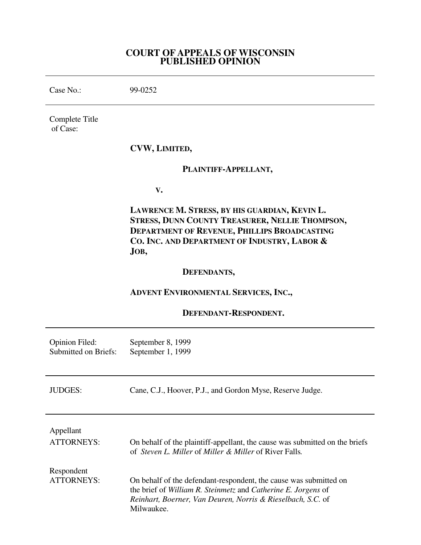# **COURT OF APPEALS OF WISCONSIN PUBLISHED OPINION**

Case No.: 99-0252 Complete Title of Case: **CVW, LIMITED, PLAINTIFF-APPELLANT, V. LAWRENCE M. STRESS, BY HIS GUARDIAN, KEVIN L. STRESS, DUNN COUNTY TREASURER, NELLIE THOMPSON, DEPARTMENT OF REVENUE, PHILLIPS BROADCASTING CO. INC. AND DEPARTMENT OF INDUSTRY, LABOR & JOB, DEFENDANTS, ADVENT ENVIRONMENTAL SERVICES, INC., DEFENDANT-RESPONDENT.** Opinion Filed: September 8, 1999 Submitted on Briefs: September 1, 1999 JUDGES: Cane, C.J., Hoover, P.J., and Gordon Myse, Reserve Judge. Appellant ATTORNEYS: On behalf of the plaintiff-appellant, the cause was submitted on the briefs of *Steven L. Miller* of *Miller & Miller* of River Falls*.* Respondent ATTORNEYS: On behalf of the defendant-respondent, the cause was submitted on the brief of *William R. Steinmetz* and *Catherine E. Jorgens* of

*Reinhart, Boerner, Van Deuren, Norris & Rieselbach, S.C.* of

Milwaukee.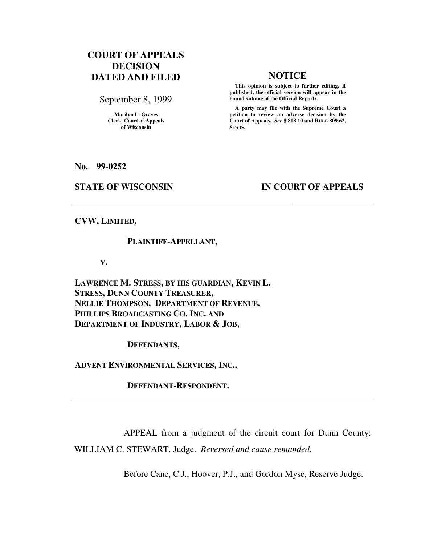# **COURT OF APPEALS DECISION DATED AND FILED NOTICE**

September 8, 1999

**Marilyn L. Graves Clerk, Court of Appeals of Wisconsin** 

 **This opinion is subject to further editing. If published, the official version will appear in the bound volume of the Official Reports.**

 **A party may file with the Supreme Court a petition to review an adverse decision by the Court of Appeals.** *See* **§ 808.10 and RULE 809.62, STATS.** 

**No. 99-0252** 

### **STATE OF WISCONSIN IN COURT OF APPEALS**

**CVW, LIMITED,** 

### **PLAINTIFF-APPELLANT,**

 **V.** 

**LAWRENCE M. STRESS, BY HIS GUARDIAN, KEVIN L. STRESS, DUNN COUNTY TREASURER, NELLIE THOMPSON, DEPARTMENT OF REVENUE, PHILLIPS BROADCASTING CO. INC. AND DEPARTMENT OF INDUSTRY, LABOR & JOB,** 

 **DEFENDANTS,** 

**ADVENT ENVIRONMENTAL SERVICES, INC.,** 

 **DEFENDANT-RESPONDENT.** 

APPEAL from a judgment of the circuit court for Dunn County:

WILLIAM C. STEWART, Judge. *Reversed and cause remanded.*

Before Cane, C.J., Hoover, P.J., and Gordon Myse, Reserve Judge.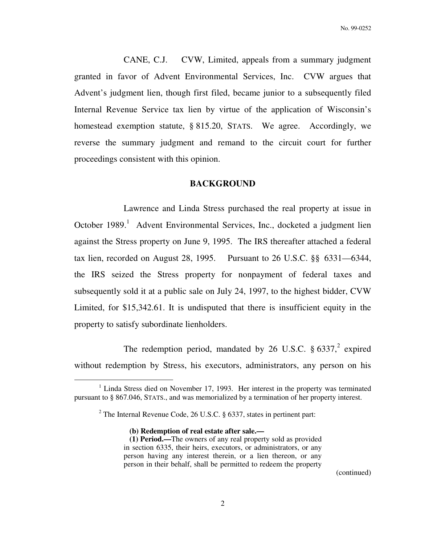CANE, C.J. CVW, Limited, appeals from a summary judgment granted in favor of Advent Environmental Services, Inc. CVW argues that Advent's judgment lien, though first filed, became junior to a subsequently filed Internal Revenue Service tax lien by virtue of the application of Wisconsin's homestead exemption statute, § 815.20, STATS. We agree. Accordingly, we reverse the summary judgment and remand to the circuit court for further proceedings consistent with this opinion.

### **BACKGROUND**

Lawrence and Linda Stress purchased the real property at issue in October 1989.<sup>1</sup> Advent Environmental Services, Inc., docketed a judgment lien against the Stress property on June 9, 1995. The IRS thereafter attached a federal tax lien, recorded on August 28, 1995. Pursuant to 26 U.S.C. §§ 6331—6344, the IRS seized the Stress property for nonpayment of federal taxes and subsequently sold it at a public sale on July 24, 1997, to the highest bidder, CVW Limited, for \$15,342.61. It is undisputed that there is insufficient equity in the property to satisfy subordinate lienholders.

The redemption period, mandated by 26 U.S.C.  $\S 6337$ , expired without redemption by Stress, his executors, administrators, any person on his

 **(b) Redemption of real estate after sale.—** 

 $\overline{a}$ 

(continued)

<sup>&</sup>lt;sup>1</sup> Linda Stress died on November 17, 1993. Her interest in the property was terminated pursuant to § 867.046, STATS., and was memorialized by a termination of her property interest.

<sup>&</sup>lt;sup>2</sup> The Internal Revenue Code, 26 U.S.C.  $\S$  6337, states in pertinent part:

 **<sup>(1)</sup> Period.—**The owners of any real property sold as provided in section 6335, their heirs, executors, or administrators, or any person having any interest therein, or a lien thereon, or any person in their behalf, shall be permitted to redeem the property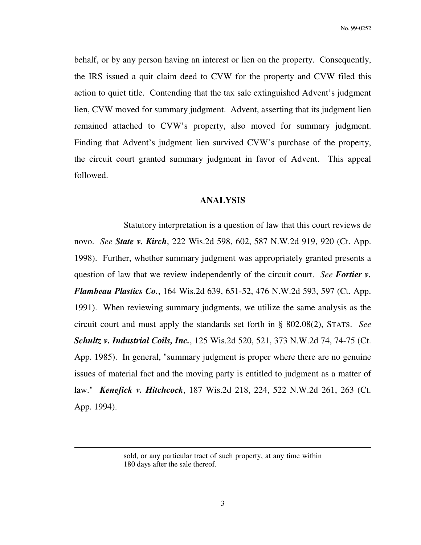No. 99-0252

behalf, or by any person having an interest or lien on the property. Consequently, the IRS issued a quit claim deed to CVW for the property and CVW filed this action to quiet title. Contending that the tax sale extinguished Advent's judgment lien, CVW moved for summary judgment. Advent, asserting that its judgment lien remained attached to CVW's property, also moved for summary judgment. Finding that Advent's judgment lien survived CVW's purchase of the property, the circuit court granted summary judgment in favor of Advent. This appeal followed.

# **ANALYSIS**

Statutory interpretation is a question of law that this court reviews de novo. *See State v. Kirch*, 222 Wis.2d 598, 602, 587 N.W.2d 919, 920 (Ct. App. 1998). Further, whether summary judgment was appropriately granted presents a question of law that we review independently of the circuit court. *See Fortier v. Flambeau Plastics Co.*, 164 Wis.2d 639, 651-52, 476 N.W.2d 593, 597 (Ct. App. 1991). When reviewing summary judgments, we utilize the same analysis as the circuit court and must apply the standards set forth in § 802.08(2), STATS. *See Schultz v. Industrial Coils, Inc.*, 125 Wis.2d 520, 521, 373 N.W.2d 74, 74-75 (Ct. App. 1985). In general, "summary judgment is proper where there are no genuine issues of material fact and the moving party is entitled to judgment as a matter of law." *Kenefick v. Hitchcock*, 187 Wis.2d 218, 224, 522 N.W.2d 261, 263 (Ct. App. 1994).

 $\overline{a}$ 

sold, or any particular tract of such property, at any time within 180 days after the sale thereof.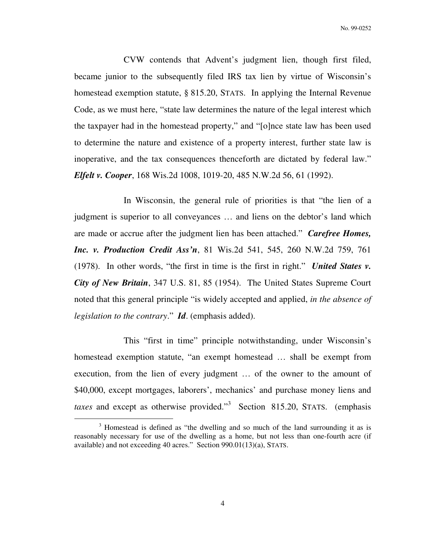CVW contends that Advent's judgment lien, though first filed, became junior to the subsequently filed IRS tax lien by virtue of Wisconsin's homestead exemption statute, § 815.20, STATS. In applying the Internal Revenue Code, as we must here, "state law determines the nature of the legal interest which the taxpayer had in the homestead property," and "[o]nce state law has been used to determine the nature and existence of a property interest, further state law is inoperative, and the tax consequences thenceforth are dictated by federal law." *Elfelt v. Cooper*, 168 Wis.2d 1008, 1019-20, 485 N.W.2d 56, 61 (1992).

 In Wisconsin, the general rule of priorities is that "the lien of a judgment is superior to all conveyances … and liens on the debtor's land which are made or accrue after the judgment lien has been attached." *Carefree Homes, Inc. v. Production Credit Ass'n*, 81 Wis.2d 541, 545, 260 N.W.2d 759, 761 (1978). In other words, "the first in time is the first in right." *United States v. City of New Britain*, 347 U.S. 81, 85 (1954). The United States Supreme Court noted that this general principle "is widely accepted and applied, *in the absence of legislation to the contrary*." *Id*. (emphasis added).

 This "first in time" principle notwithstanding, under Wisconsin's homestead exemption statute, "an exempt homestead … shall be exempt from execution, from the lien of every judgment … of the owner to the amount of \$40,000, except mortgages, laborers', mechanics' and purchase money liens and *taxes* and except as otherwise provided."<sup>3</sup> Section 815.20, STATS. (emphasis

 $\overline{a}$ 

<sup>&</sup>lt;sup>3</sup> Homestead is defined as "the dwelling and so much of the land surrounding it as is reasonably necessary for use of the dwelling as a home, but not less than one-fourth acre (if available) and not exceeding 40 acres." Section 990.01(13)(a), STATS.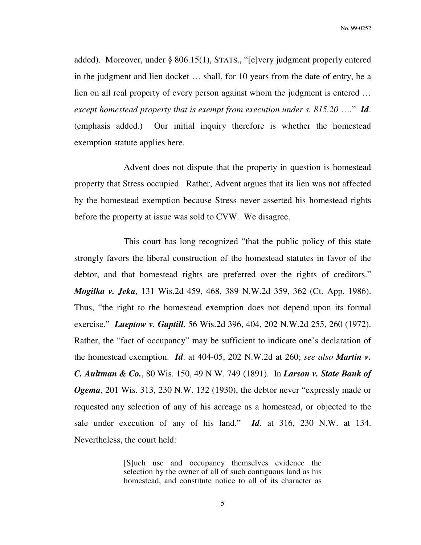No. 99-0252

added). Moreover, under § 806.15(1), STATS., "[e]very judgment properly entered in the judgment and lien docket … shall, for 10 years from the date of entry, be a lien on all real property of every person against whom the judgment is entered … *except homestead property that is exempt from execution under s. 815.20* …." *Id*. (emphasis added.) Our initial inquiry therefore is whether the homestead exemption statute applies here.

 Advent does not dispute that the property in question is homestead property that Stress occupied. Rather, Advent argues that its lien was not affected by the homestead exemption because Stress never asserted his homestead rights before the property at issue was sold to CVW. We disagree.

 This court has long recognized "that the public policy of this state strongly favors the liberal construction of the homestead statutes in favor of the debtor, and that homestead rights are preferred over the rights of creditors." *Mogilka v. Jeka*, 131 Wis.2d 459, 468, 389 N.W.2d 359, 362 (Ct. App. 1986). Thus, "the right to the homestead exemption does not depend upon its formal exercise." *Lueptow v. Guptill*, 56 Wis.2d 396, 404, 202 N.W.2d 255, 260 (1972). Rather, the "fact of occupancy" may be sufficient to indicate one's declaration of the homestead exemption. *Id*. at 404-05, 202 N.W.2d at 260; *see also Martin v. C. Aultman & Co.*, 80 Wis. 150, 49 N.W. 749 (1891). In *Larson v. State Bank of Ogema*, 201 Wis. 313, 230 N.W. 132 (1930), the debtor never "expressly made or requested any selection of any of his acreage as a homestead, or objected to the sale under execution of any of his land." *Id*. at 316, 230 N.W. at 134. Nevertheless, the court held:

> [S]uch use and occupancy themselves evidence the selection by the owner of all of such contiguous land as his homestead, and constitute notice to all of its character as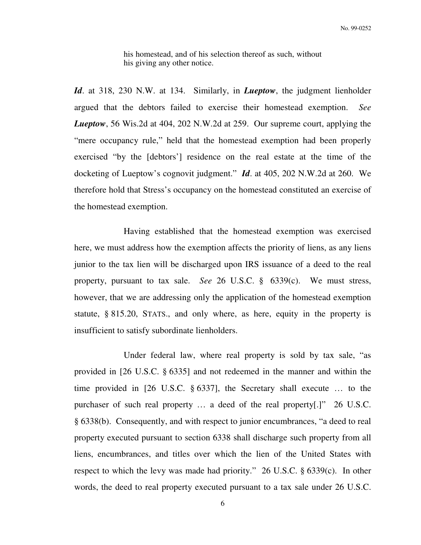his homestead, and of his selection thereof as such, without his giving any other notice.

*Id*. at 318, 230 N.W. at 134. Similarly, in *Lueptow*, the judgment lienholder argued that the debtors failed to exercise their homestead exemption. *See Lueptow*, 56 Wis.2d at 404, 202 N.W.2d at 259. Our supreme court, applying the "mere occupancy rule," held that the homestead exemption had been properly exercised "by the [debtors'] residence on the real estate at the time of the docketing of Lueptow's cognovit judgment." *Id*. at 405, 202 N.W.2d at 260. We therefore hold that Stress's occupancy on the homestead constituted an exercise of the homestead exemption.

 Having established that the homestead exemption was exercised here, we must address how the exemption affects the priority of liens, as any liens junior to the tax lien will be discharged upon IRS issuance of a deed to the real property, pursuant to tax sale. *See* 26 U.S.C. § 6339(c). We must stress, however, that we are addressing only the application of the homestead exemption statute, § 815.20, STATS., and only where, as here, equity in the property is insufficient to satisfy subordinate lienholders.

 Under federal law, where real property is sold by tax sale, "as provided in [26 U.S.C. § 6335] and not redeemed in the manner and within the time provided in [26 U.S.C. § 6337], the Secretary shall execute … to the purchaser of such real property … a deed of the real property[.]" 26 U.S.C. § 6338(b). Consequently, and with respect to junior encumbrances, "a deed to real property executed pursuant to section 6338 shall discharge such property from all liens, encumbrances, and titles over which the lien of the United States with respect to which the levy was made had priority." 26 U.S.C. § 6339(c). In other words, the deed to real property executed pursuant to a tax sale under 26 U.S.C.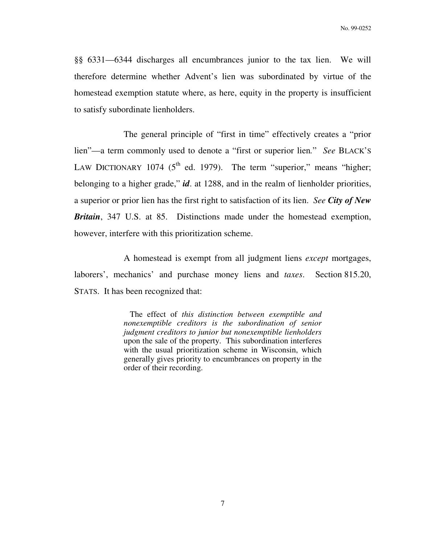§§ 6331—6344 discharges all encumbrances junior to the tax lien. We will therefore determine whether Advent's lien was subordinated by virtue of the homestead exemption statute where, as here, equity in the property is insufficient to satisfy subordinate lienholders.

 The general principle of "first in time" effectively creates a "prior lien"—a term commonly used to denote a "first or superior lien*.*" *See* BLACK'S LAW DICTIONARY 1074 ( $5<sup>th</sup>$  ed. 1979). The term "superior," means "higher; belonging to a higher grade," *id*. at 1288, and in the realm of lienholder priorities, a superior or prior lien has the first right to satisfaction of its lien. *See City of New Britain*, 347 U.S. at 85. Distinctions made under the homestead exemption, however, interfere with this prioritization scheme.

 A homestead is exempt from all judgment liens *except* mortgages, laborers', mechanics' and purchase money liens and *taxes*. Section 815.20, STATS. It has been recognized that:

> The effect of *this distinction between exemptible and nonexemptible creditors is the subordination of senior judgment creditors to junior but nonexemptible lienholders* upon the sale of the property. This subordination interferes with the usual prioritization scheme in Wisconsin, which generally gives priority to encumbrances on property in the order of their recording.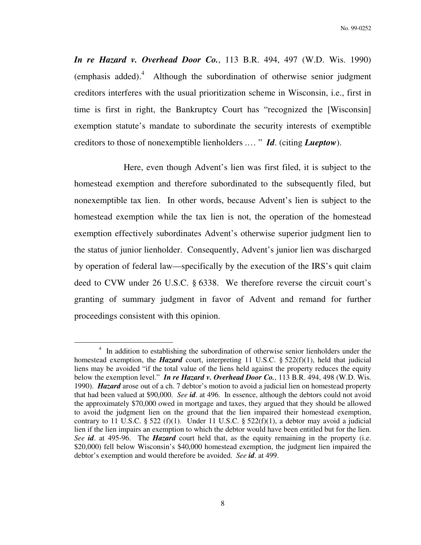*In re Hazard v. Overhead Door Co.*, 113 B.R. 494, 497 (W.D. Wis. 1990)  $(emphasis added).<sup>4</sup>$  Although the subordination of otherwise senior judgment creditors interferes with the usual prioritization scheme in Wisconsin, i.e., first in time is first in right, the Bankruptcy Court has "recognized the [Wisconsin] exemption statute's mandate to subordinate the security interests of exemptible creditors to those of nonexemptible lienholders .… " *Id*. (citing *Lueptow*).

 Here, even though Advent's lien was first filed, it is subject to the homestead exemption and therefore subordinated to the subsequently filed, but nonexemptible tax lien. In other words, because Advent's lien is subject to the homestead exemption while the tax lien is not, the operation of the homestead exemption effectively subordinates Advent's otherwise superior judgment lien to the status of junior lienholder. Consequently, Advent's junior lien was discharged by operation of federal law—specifically by the execution of the IRS's quit claim deed to CVW under 26 U.S.C. § 6338. We therefore reverse the circuit court's granting of summary judgment in favor of Advent and remand for further proceedings consistent with this opinion.

 $\overline{a}$ 

<sup>&</sup>lt;sup>4</sup> In addition to establishing the subordination of otherwise senior lienholders under the homestead exemption, the *Hazard* court, interpreting 11 U.S.C. § 522(f)(1), held that judicial liens may be avoided "if the total value of the liens held against the property reduces the equity below the exemption level." *In re Hazard v. Overhead Door Co.*, 113 B.R. 494, 498 (W.D. Wis. 1990). *Hazard* arose out of a ch. 7 debtor's motion to avoid a judicial lien on homestead property that had been valued at \$90,000. *See id*. at 496. In essence, although the debtors could not avoid the approximately \$70,000 owed in mortgage and taxes, they argued that they should be allowed to avoid the judgment lien on the ground that the lien impaired their homestead exemption, contrary to 11 U.S.C. § 522 (f)(1). Under 11 U.S.C. § 522(f)(1), a debtor may avoid a judicial lien if the lien impairs an exemption to which the debtor would have been entitled but for the lien. *See id*. at 495-96. The *Hazard* court held that, as the equity remaining in the property (i.e. \$20,000) fell below Wisconsin's \$40,000 homestead exemption, the judgment lien impaired the debtor's exemption and would therefore be avoided. *See id*. at 499.